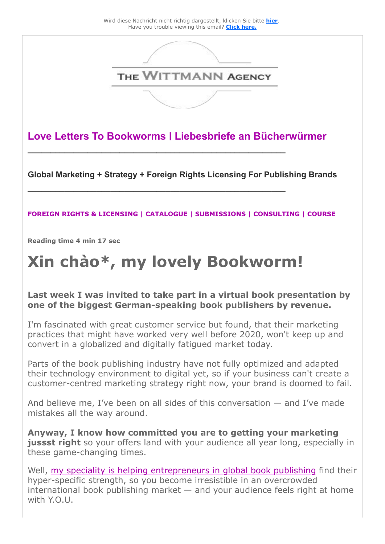

**Love Letters To Bookworms | Liebesbriefe an Bücherwürmer**

**\_\_\_\_\_\_\_\_\_\_\_\_\_\_\_\_\_\_\_\_\_\_\_\_\_\_\_\_\_\_\_\_\_\_\_\_\_\_\_\_\_\_\_\_\_\_\_\_\_\_\_\_\_\_\_\_**

**\_\_\_\_\_\_\_\_\_\_\_\_\_\_\_\_\_\_\_\_\_\_\_\_\_\_\_\_\_\_\_\_\_\_\_\_\_\_\_\_\_\_\_\_\_\_\_\_\_\_\_\_\_\_\_\_** 

**Global Marketing + Strategy + Foreign Rights Licensing For Publishing Brands** 

#### **[FOREIGN RIGHTS & LICENSING](https://25446.seu.cleverreach.com/c/47462888/4bcce677659-rd3lsm) | [CATALOGUE](https://25446.seu.cleverreach.com/c/47462889/4bcce677659-rd3lsm) | [SUBMISSIONS](https://25446.seu.cleverreach.com/c/47462890/4bcce677659-rd3lsm) | [CONSULTING](https://25446.seu.cleverreach.com/c/47462891/4bcce677659-rd3lsm) | [COURSE](https://25446.seu.cleverreach.com/c/47462892/4bcce677659-rd3lsm)**

**Reading time 4 min 17 sec**

# **Xin chào\*, my lovely Bookworm!**

#### **Last week I was invited to take part in a virtual book presentation by one of the biggest German-speaking book publishers by revenue.**

I'm fascinated with great customer service but found, that their marketing practices that might have worked very well before 2020, won't keep up and convert in a globalized and digitally fatigued market today.

Parts of the book publishing industry have not fully optimized and adapted their technology environment to digital yet, so if your business can't create a customer-centred marketing strategy right now, your brand is doomed to fail.

And believe me, I've been on all sides of this conversation — and I've made mistakes all the way around.

**Anyway, I know how committed you are to getting your marketing** jussst right so your offers land with your audience all year long, especially in these game-changing times.

Well, [my speciality is helping entrepreneurs in global book publishing](https://25446.seu.cleverreach.com/c/47462893/4bcce677659-rd3lsm) find their hyper-specific strength, so you become irresistible in an overcrowded international book publishing market  $-$  and your audience feels right at home with Y.O.U.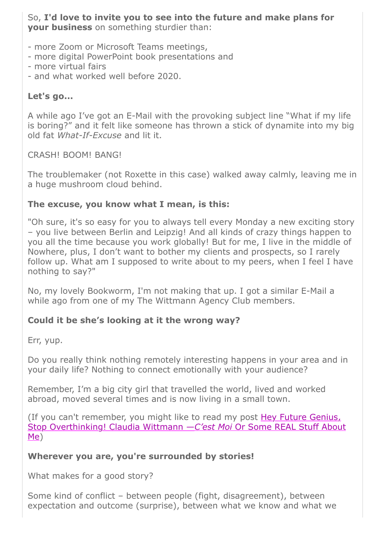So, **I'd love to invite you to see into the future and make plans for your business** on something sturdier than:

- more Zoom or Microsoft Teams meetings,
- more digital PowerPoint book presentations and
- more virtual fairs
- and what worked well before 2020.

### **Let's go...**

A while ago I've got an E-Mail with the provoking subject line "What if my life is boring?" and it felt like someone has thrown a stick of dynamite into my big old fat *What-If-Excuse* and lit it.

CRASH! BOOM! BANG!

The troublemaker (not Roxette in this case) walked away calmly, leaving me in a huge mushroom cloud behind.

### **The excuse, you know what I mean, is this:**

"Oh sure, it's so easy for you to always tell every Monday a new exciting story – you live between Berlin and Leipzig! And all kinds of crazy things happen to you all the time because you work globally! But for me, I live in the middle of Nowhere, plus, I don't want to bother my clients and prospects, so I rarely follow up. What am I supposed to write about to my peers, when I feel I have nothing to say?"

No, my lovely Bookworm, I'm not making that up. I got a similar E-Mail a while ago from one of my The Wittmann Agency Club members.

### **Could it be she's looking at it the wrong way?**

Err, yup.

Do you really think nothing remotely interesting happens in your area and in your daily life? Nothing to connect emotionally with your audience?

Remember, I'm a big city girl that travelled the world, lived and worked abroad, moved several times and is now living in a small town.

[\(If you can't remember, you might like to read my post Hey Future Genius,](https://25446.seu.cleverreach.com/c/47462894/4bcce677659-rd3lsm) Stop Overthinking! Claudia Wittmann —*C'est Moi* Or Some REAL Stuff About Me)

### **Wherever you are, you're surrounded by stories!**

What makes for a good story?

Some kind of conflict – between people (fight, disagreement), between expectation and outcome (surprise), between what we know and what we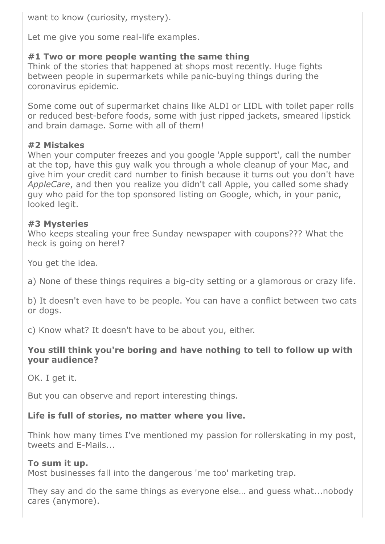want to know (curiosity, mystery).

Let me give you some real-life examples.

### **#1 Two or more people wanting the same thing**

Think of the stories that happened at shops most recently. Huge fights between people in supermarkets while panic-buying things during the coronavirus epidemic.

Some come out of supermarket chains like ALDI or LIDL with toilet paper rolls or reduced best-before foods, some with just ripped jackets, smeared lipstick and brain damage. Some with all of them!

### **#2 Mistakes**

When your computer freezes and you google 'Apple support', call the number at the top, have this guy walk you through a whole cleanup of your Mac, and give him your credit card number to finish because it turns out you don't have *AppleCare*, and then you realize you didn't call Apple, you called some shady guy who paid for the top sponsored listing on Google, which, in your panic, looked legit.

#### **#3 Mysteries**

Who keeps stealing your free Sunday newspaper with coupons??? What the heck is going on here!?

You get the idea.

a) None of these things requires a big-city setting or a glamorous or crazy life.

b) It doesn't even have to be people. You can have a conflict between two cats or dogs.

c) Know what? It doesn't have to be about you, either.

#### **You still think you're boring and have nothing to tell to follow up with your audience?**

OK. I get it.

But you can observe and report interesting things.

### **Life is full of stories, no matter where you live.**

Think how many times I've mentioned my passion for rollerskating in my post, tweets and E-Mails...

### **To sum it up.**

Most businesses fall into the dangerous 'me too' marketing trap.

They say and do the same things as everyone else… and guess what...nobody cares (anymore).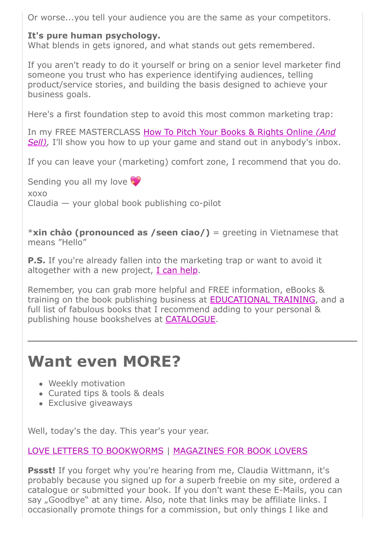Or worse...you tell your audience you are the same as your competitors.

### **It's pure human psychology.**

What blends in gets ignored, and what stands out gets remembered.

If you aren't ready to do it yourself or bring on a senior level marketer find someone you trust who has experience identifying audiences, telling product/service stories, and building the basis designed to achieve your business goals.

Here's a first foundation step to avoid this most common marketing trap:

[In my FREE MASTERCLASS How To Pitch Your Books & Rights Online](https://25446.seu.cleverreach.com/c/47462895/4bcce677659-rd3lsm) *(And Sell*), I'll show you how to up your game and stand out in anybody's inbox.

If you can leave your (marketing) comfort zone, I recommend that you do.

Sending you all my love xoxo Claudia — your global book publishing co-pilot

\***xin chào (pronounced as /seen ciao/)** = greeting in Vietnamese that means "Hello"

**P.S.** If you're already fallen into the marketing trap or want to avoid it altogether with a new project, [I can help.](https://25446.seu.cleverreach.com/c/47462891/4bcce677659-rd3lsm)

Remember, you can grab more helpful and FREE information, eBooks & training on the book publishing business at **EDUCATIONAL TRAINING**, and a full list of fabulous books that I recommend adding to your personal & publishing house bookshelves at [CATALOGUE](https://25446.seu.cleverreach.com/c/47462889/4bcce677659-rd3lsm).

**\_\_\_\_\_\_\_\_\_\_\_\_\_\_\_\_\_\_\_\_\_\_\_\_\_\_\_\_\_\_\_\_\_\_\_\_\_\_\_\_\_\_\_\_\_\_\_\_\_\_\_\_\_\_\_\_**

## **Want even MORE?**

- Weekly motivation
- Curated tips & tools & deals
- Exclusive giveaways

Well, today's the day. This year's your year.

[LOVE LETTERS TO BOOKWORMS](https://25446.seu.cleverreach.com/c/47462897/4bcce677659-rd3lsm) | [MAGAZINES FOR BOOK LOVERS](https://25446.seu.cleverreach.com/c/47462898/4bcce677659-rd3lsm)

**Pssst!** If you forget why you're hearing from me, Claudia Wittmann, it's probably because you signed up for a superb freebie on my site, ordered a catalogue or submitted your book. If you don't want these E-Mails, you can say "Goodbye" at any time. Also, note that links may be affiliate links. I occasionally promote things for a commission, but only things I like and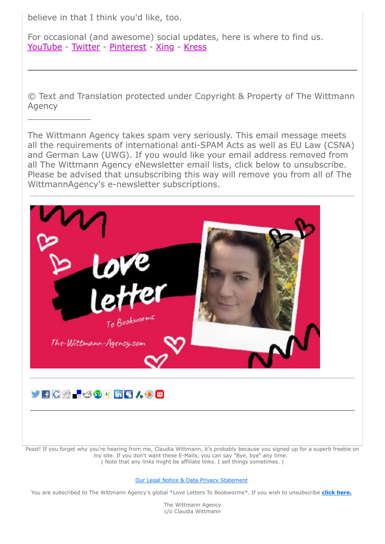believe in that I think you'd like, too.

 $\overline{\phantom{a}}$  , where  $\overline{\phantom{a}}$ 

For occasional (and awesome) social updates, here is where to find us. [YouTube](https://25446.seu.cleverreach.com/c/47462899/4bcce677659-rd3lsm) - [Twitter](https://25446.seu.cleverreach.com/c/47462900/4bcce677659-rd3lsm) - [Pinterest](https://25446.seu.cleverreach.com/c/47462901/4bcce677659-rd3lsm) - [Xing](https://25446.seu.cleverreach.com/c/47462902/4bcce677659-rd3lsm) - [Kress](https://25446.seu.cleverreach.com/c/47462903/4bcce677659-rd3lsm)

© Text and Translation protected under Copyright & Property of The Wittmann Agency

**\_\_\_\_\_\_\_\_\_\_\_\_\_\_\_\_\_\_\_\_\_\_\_\_\_\_\_\_\_\_\_\_\_\_\_\_\_\_\_\_\_\_\_\_\_\_\_\_\_\_\_\_\_\_\_\_**

The Wittmann Agency takes spam very seriously. This email message meets all the requirements of international anti-SPAM Acts as well as EU Law (CSNA) and German Law (UWG). If you would like your email address removed from all The Wittmann Agency eNewsletter email lists, click below to unsubscribe. Please be advised that unsubscribing this way will remove you from all of The WittmannAgency's e-newsletter subscriptions.





Pssst! If you forget why you're hearing from me, Claudia Wittmann, it's probably because you signed up for a superb freebie on my site. If you don't want these E-Mails, you can say "Bye, bye" any time. | Note that any links might be affiliate links. I sell things sometimes. |

#### [Our Legal Notice & Data Privacy Statement](https://25446.seu.cleverreach.com/c/47462917/4bcce677659-rd3lsm)

You are subscribed to The Wittmann Agency's global \*Love Letters To Bookworms\*. If you wish to unsubscribe **[click here.](https://25446.seu.cleverreach.com/rmftlp.php?cid=0&mid=14179763&h=0-4bcce677659-rd3lsm)**

The Wittmann Agency c/o Claudia Wittmann